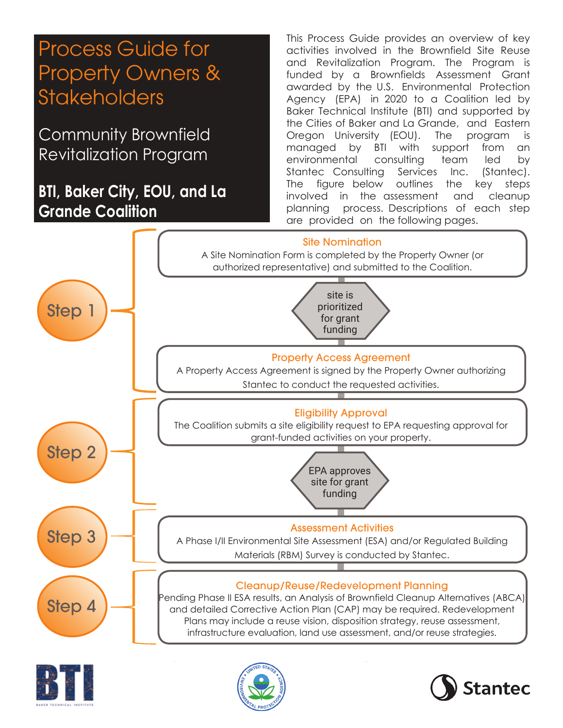# Process Guide for Property Owners & **Stakeholders**

Community Brownfield Revitalization Program

## **BTI, Baker City, EOU, and La Grande Coalition**

This Process Guide provides an overview of key activities involved in the Brownfield Site Reuse and Revitalization Program. The Program is funded by a Brownfields Assessment Grant awarded by the U.S. Environmental Protection Agency (EPA) in 2020 to a Coalition led by Baker Technical Institute (BTI) and supported by the Cities of Baker and La Grande, and Eastern Oregon University (EOU). The program is managed by BTI with support from an environmental consulting team led by Stantec Consulting Services Inc. (Stantec). The figure below outlines the key steps involved in the assessment and cleanup planning process. Descriptions of each step are provided on the following pages.







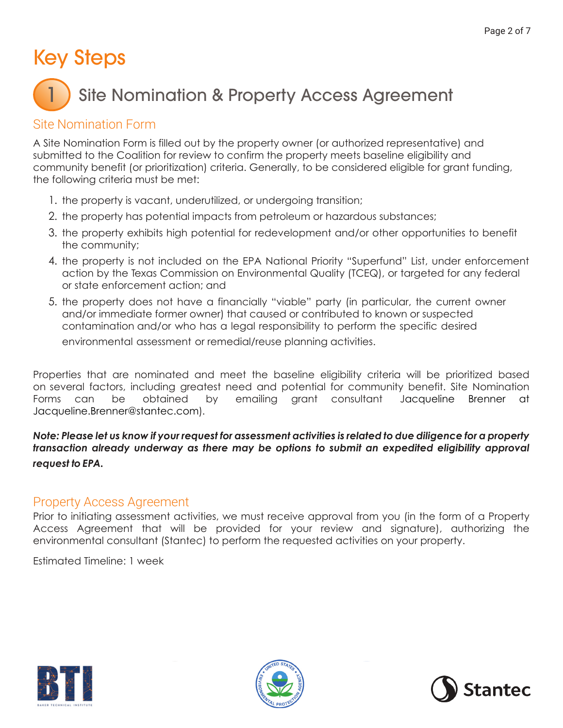# Key Steps

#### Site Nomination & Property Access Agreement 1

## Site Nomination Form

A Site Nomination Form is filled out by the property owner (or authorized representative) and submitted to the Coalition for review to confirm the property meets baseline eligibility and community benefit (or prioritization) criteria. Generally, to be considered eligible for grant funding, the following criteria must be met:

- 1. the property is vacant, underutilized, or undergoing transition;
- 2. the property has potential impacts from petroleum or hazardous substances;
- 3. the property exhibits high potential for redevelopment and/or other opportunities to benefit the community;
- 4. the property is not included on the EPA National Priority "Superfund" List, under enforcement action by the Texas Commission on Environmental Quality (TCEQ), or targeted for any federal or state enforcement action; and
- 5. the property does not have a financially "viable" party (in particular, the current owner and/or immediate former owner) that caused or contributed to known or suspected contamination and/or who has a legal responsibility to perform the specific desired environmental assessment or remedial/reuse planning activities.

Properties that are nominated and meet the baseline eligibility criteria will be prioritized based on several factors, including greatest need and potential for community benefit. Site Nomination Forms can be obtained by emailing grant consultant Jacqueline Brenner at Jacqueline.Brenner@stantec.com).

*Note: Please let us know if your request for assessment activities is related to due diligence for a property transaction already underway as there may be options to submit an expedited eligibility approval request to EPA.*

## Property Access Agreement

Prior to initiating assessment activities, we must receive approval from you (in the form of a Property Access Agreement that will be provided for your review and signature), authorizing the environmental consultant (Stantec) to perform the requested activities on your property.

Estimated Timeline: 1 week





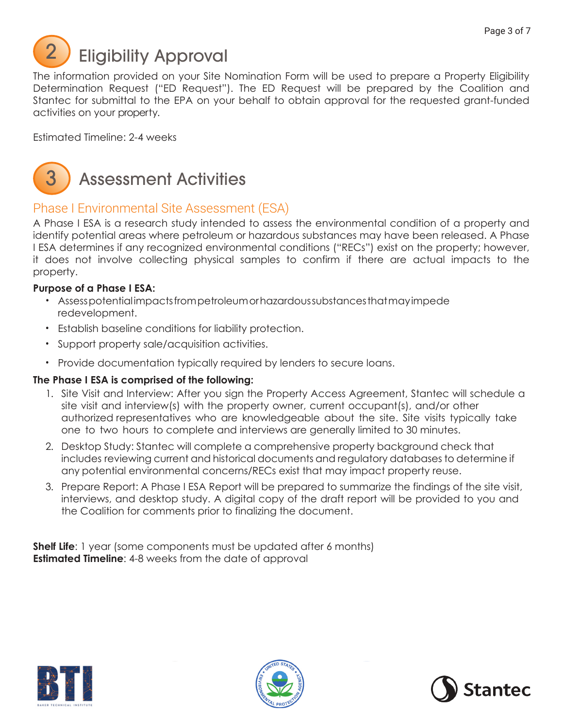

The information provided on your Site Nomination Form will be used to prepare a Property Eligibility Determination Request ("ED Request"). The ED Request will be prepared by the Coalition and Stantec for submittal to the EPA on your behalf to obtain approval for the requested grant-funded activities on your property.

Estimated Timeline: 2-4 weeks



## Assessment Activities

## Phase I Environmental Site Assessment (ESA)

A Phase I ESA is a research study intended to assess the environmental condition of a property and identify potential areas where petroleum or hazardous substances may have been released. A Phase I ESA determines if any recognized environmental conditions ("RECs") exist on the property; however, it does not involve collecting physical samples to confirm if there are actual impacts to the property.

#### **Purpose of a Phase I ESA:**

- Assess potential impacts from petroleum or hazardous substances that may impede redevelopment.
- Establish baseline conditions for liability protection.
- Support property sale/acquisition activities.
- Provide documentation typically required by lenders to secure loans.

## **The Phase I ESA is comprised of the following:**

- 1. Site Visit and Interview: After you sign the Property Access Agreement, Stantec will schedule a site visit and interview(s) with the property owner, current occupant(s), and/or other authorized representatives who are knowledgeable about the site. Site visits typically take one to two hours to complete and interviews are generally limited to 30 minutes.
- 2. Desktop Study: Stantec will complete a comprehensive property background check that includes reviewing current and historical documents and regulatory databases to determine if any potential environmental concerns/RECs exist that may impact property reuse.
- 3. Prepare Report: A Phase I ESA Report will be prepared to summarize the findings of the site visit, interviews, and desktop study. A digital copy of the draft report will be provided to you and the Coalition for comments prior to finalizing the document.

**Shelf Life**: 1 year (some components must be updated after 6 months) **Estimated Timeline:** 4-8 weeks from the date of approval





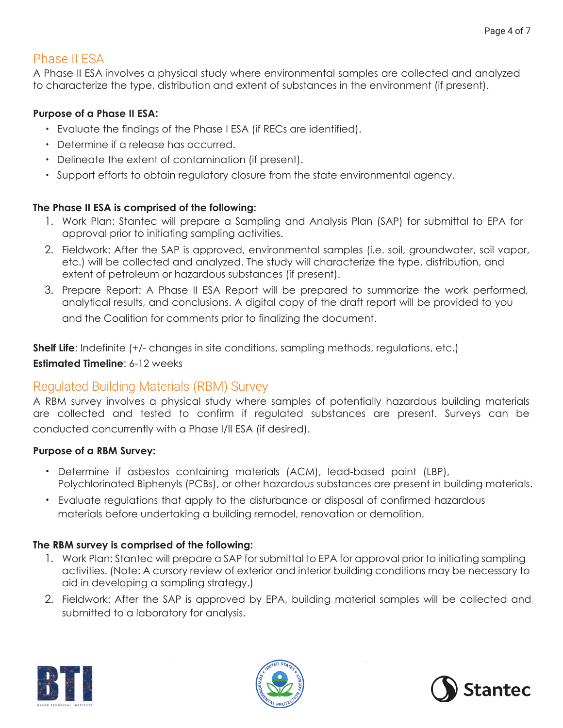## Phase II ESA

A Phase II ESA involves a physical study where environmental samples are collected and analyzed to characterize the type, distribution and extent of substances in the environment (if present).

#### **Purpose of a Phase II ESA:**

- Evaluate the findings of the Phase I ESA (if RECs are identified).
- Determine if a release has occurred.
- Delineate the extent of contamination (if present).
- Support efforts to obtain regulatory closure from the state environmental agency.

#### **The Phase II ESA is comprised of the following:**

- 1. Work Plan: Stantec will prepare a Sampling and Analysis Plan (SAP) for submittal to EPA for approval prior to initiating sampling activities.
- 2. Fieldwork: After the SAP is approved, environmental samples (i.e. soil, groundwater, soil vapor, etc.) will be collected and analyzed. The study will characterize the type, distribution, and extent of petroleum or hazardous substances (if present).
- 3. Prepare Report: A Phase II ESA Report will be prepared to summarize the work performed, analytical results, and conclusions. A digital copy of the draft report will be provided to you and the Coalition for comments prior to finalizing the document.

**Shelf Life**: Indefinite (+/- changes in site conditions, sampling methods, regulations, etc.) **Estimated Timeline**: 6-12 weeks

## Regulated Building Materials (RBM) Survey

A RBM survey involves a physical study where samples of potentially hazardous building materials are collected and tested to confirm if regulated substances are present. Surveys can be conducted concurrently with a Phase I/II ESA (if desired).

#### **Purpose of a RBM Survey:**

- Determine if asbestos containing materials (ACM), lead-based paint (LBP), Polychlorinated Biphenyls (PCBs), or other hazardous substances are present in building materials.
- Evaluate regulations that apply to the disturbance or disposal of confirmed hazardous materials before undertaking a building remodel, renovation or demolition.

## **The RBM survey is comprised of the following:**

- 1. Work Plan: Stantec will prepare a SAP for submittal to EPA for approval prior to initiating sampling activities. (Note: A cursory review of exterior and interior building conditions may be necessary to aid in developing a sampling strategy.)
- 2. Fieldwork: After the SAP is approved by EPA, building material samples will be collected and submitted to a laboratory for analysis.





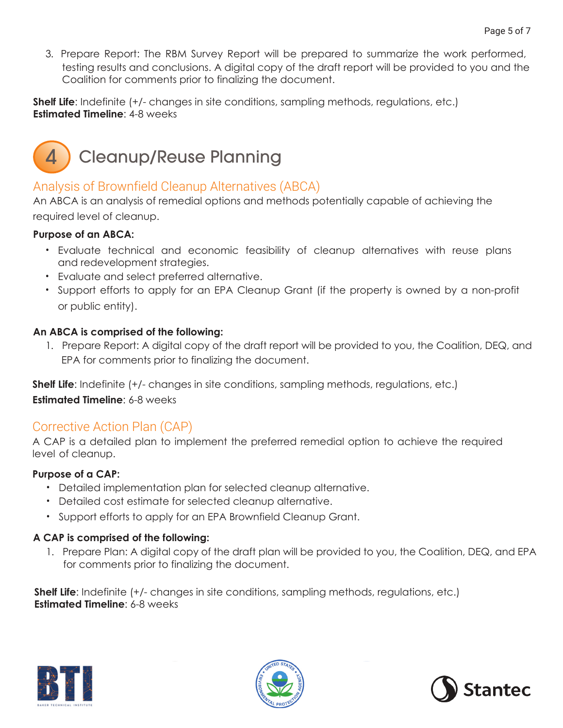3. Prepare Report: The RBM Survey Report will be prepared to summarize the work performed, testing results and conclusions. A digital copy of the draft report will be provided to you and the Coalition for comments prior to finalizing the document.

**Shelf Life**: Indefinite (+/- changes in site conditions, sampling methods, regulations, etc.) **Estimated Timeline**: 4-8 weeks

#### Cleanup/Reuse Planning 4

## Analysis of Brownfield Cleanup Alternatives (ABCA)

An ABCA is an analysis of remedial options and methods potentially capable of achieving the required level of cleanup.

## **Purpose of an ABCA:**

- Evaluate technical and economic feasibility of cleanup alternatives with reuse plans and redevelopment strategies.
- Evaluate and select preferred alternative.
- Support efforts to apply for an EPA Cleanup Grant (if the property is owned by a non-profit or public entity).

## **An ABCA is comprised of the following:**

1. Prepare Report: A digital copy of the draft report will be provided to you, the Coalition, DEQ, and EPA for comments prior to finalizing the document.

**Shelf Life**: Indefinite (+/- changes in site conditions, sampling methods, regulations, etc.) **Estimated Timeline**: 6-8 weeks

## Corrective Action Plan (CAP)

A CAP is a detailed plan to implement the preferred remedial option to achieve the required level of cleanup.

## **Purpose of a CAP:**

- Detailed implementation plan for selected cleanup alternative.
- Detailed cost estimate for selected cleanup alternative.
- Support efforts to apply for an EPA Brownfield Cleanup Grant.

## **A CAP is comprised of the following:**

1. Prepare Plan: A digital copy of the draft plan will be provided to you, the Coalition, DEQ, and EPA for comments prior to finalizing the document.

**Shelf Life**: Indefinite (+/- changes in site conditions, sampling methods, regulations, etc.) **Estimated Timeline**: 6-8 weeks





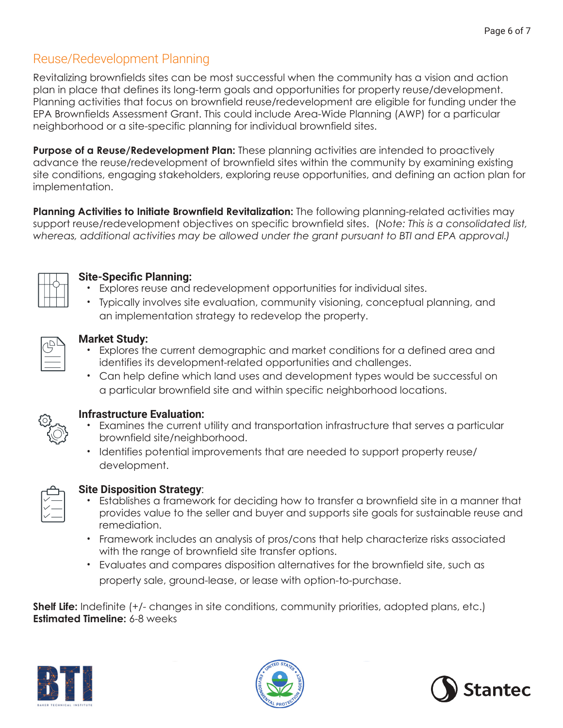## Reuse/Redevelopment Planning

Revitalizing brownfields sites can be most successful when the community has a vision and action plan in place that defines its long-term goals and opportunities for property reuse/development. Planning activities that focus on brownfield reuse/redevelopment are eligible for funding under the EPA Brownfields Assessment Grant. This could include Area-Wide Planning (AWP) for a particular neighborhood or a site-specific planning for individual brownfield sites.

**Purpose of a Reuse/Redevelopment Plan:** These planning activities are intended to proactively advance the reuse/redevelopment of brownfield sites within the community by examining existing site conditions, engaging stakeholders, exploring reuse opportunities, and defining an action plan for implementation.

**Planning Activities to Initiate Brownfield Revitalization:** The following planning-related activities may support reuse/redevelopment objectives on specific brownfield sites. (*Note: This is a consolidated list, whereas, additional activities may be allowed under the grant pursuant to BTI and EPA approval.)*



## **Site-Specific Planning:**

- Explores reuse and redevelopment opportunities for individual sites.
- Typically involves site evaluation, community visioning, conceptual planning, and an implementation strategy to redevelop the property.



## **Market Study:**

- Explores the current demographic and market conditions for a defined area and identifies its development-related opportunities and challenges.
- Can help define which land uses and development types would be successful on a particular brownfield site and within specific neighborhood locations.

|--|

## **Infrastructure Evaluation:**

- Examines the current utility and transportation infrastructure that serves a particular brownfield site/neighborhood.
- Identifies potential improvements that are needed to support property reuse/ development.



## **Site Disposition Strategy**:

- Establishes a framework for deciding how to transfer a brownfield site in a manner that provides value to the seller and buyer and supports site goals for sustainable reuse and remediation.
- Framework includes an analysis of pros/cons that help characterize risks associated with the range of brownfield site transfer options.
- Evaluates and compares disposition alternatives for the brownfield site, such as property sale, ground-lease, or lease with option-to-purchase.

**Shelf Life:** Indefinite (+/- changes in site conditions, community priorities, adopted plans, etc.) **Estimated Timeline:** 6-8 weeks